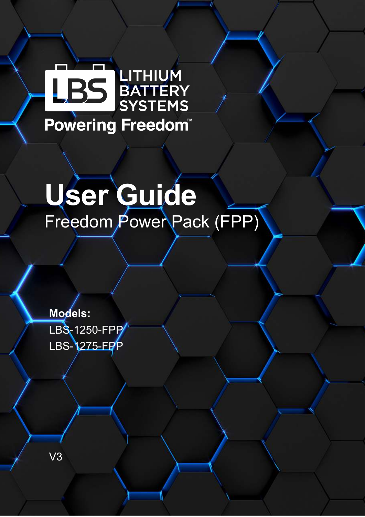# LITHIUM<br>BATTERY<br>SYSTEMS Powering Freedom

# **User Guide**  Freedom Power Pack (FPP)

**Models:**  LBS-1250-FPP LBS-1275-EPP

V3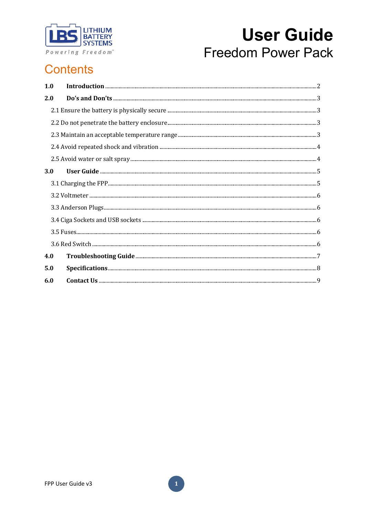

### **Contents**

| 1.0 |  |
|-----|--|
| 2.0 |  |
|     |  |
|     |  |
|     |  |
|     |  |
|     |  |
| 3.0 |  |
|     |  |
|     |  |
|     |  |
|     |  |
|     |  |
|     |  |
| 4.0 |  |
| 5.0 |  |
| 6.0 |  |

 $\mathbf{1}$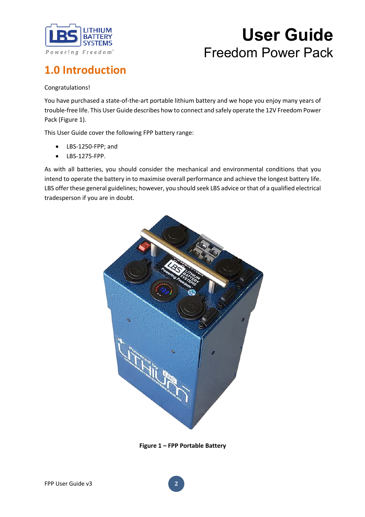

### **1.0 Introduction**

Congratulations!

You have purchased a state-of-the-art portable lithium battery and we hope you enjoy many years of trouble-free life. This User Guide describes how to connect and safely operate the 12V Freedom Power Pack (Figure 1).

This User Guide cover the following FPP battery range:

- LBS-1250-FPP; and
- LBS-1275-FPP.

As with all batteries, you should consider the mechanical and environmental conditions that you intend to operate the battery in to maximise overall performance and achieve the longest battery life. LBS offer these general guidelines; however, you should seek LBS advice or that of a qualified electrical tradesperson if you are in doubt.



**Figure 1 – FPP Portable Battery**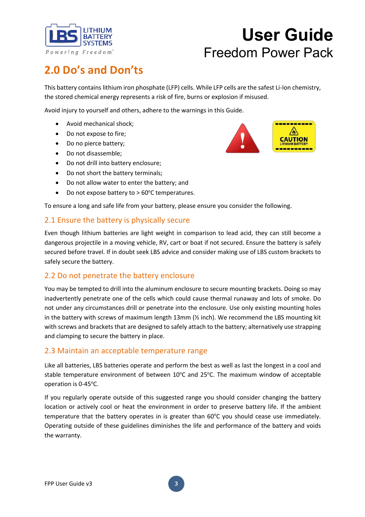

### **2.0 Do's and Don'ts**

This battery contains lithium iron phosphate (LFP) cells. While LFP cells are the safest Li-Ion chemistry, the stored chemical energy represents a risk of fire, burns or explosion if misused.

Avoid injury to yourself and others, adhere to the warnings in this Guide.

- Avoid mechanical shock;
- Do not expose to fire;
- Do no pierce battery;
- Do not disassemble;
- Do not drill into battery enclosure;
- Do not short the battery terminals;
- Do not allow water to enter the battery; and
- Do not expose battery to  $> 60^{\circ}$ C temperatures.

To ensure a long and safe life from your battery, please ensure you consider the following.

### 2.1 Ensure the battery is physically secure

Even though lithium batteries are light weight in comparison to lead acid, they can still become a dangerous projectile in a moving vehicle, RV, cart or boat if not secured. Ensure the battery is safely secured before travel. If in doubt seek LBS advice and consider making use of LBS custom brackets to safely secure the battery.

#### 2.2 Do not penetrate the battery enclosure

You may be tempted to drill into the aluminum enclosure to secure mounting brackets. Doing so may inadvertently penetrate one of the cells which could cause thermal runaway and lots of smoke. Do not under any circumstances drill or penetrate into the enclosure. Use only existing mounting holes in the battery with screws of maximum length 13mm (½ inch). We recommend the LBS mounting kit with screws and brackets that are designed to safely attach to the battery; alternatively use strapping and clamping to secure the battery in place.

#### 2.3 Maintain an acceptable temperature range

Like all batteries, LBS batteries operate and perform the best as well as last the longest in a cool and stable temperature environment of between 10°C and 25°C. The maximum window of acceptable operation is 0-45°C.

If you regularly operate outside of this suggested range you should consider changing the battery location or actively cool or heat the environment in order to preserve battery life. If the ambient temperature that the battery operates in is greater than  $60^{\circ}$ C you should cease use immediately. Operating outside of these guidelines diminishes the life and performance of the battery and voids the warranty.

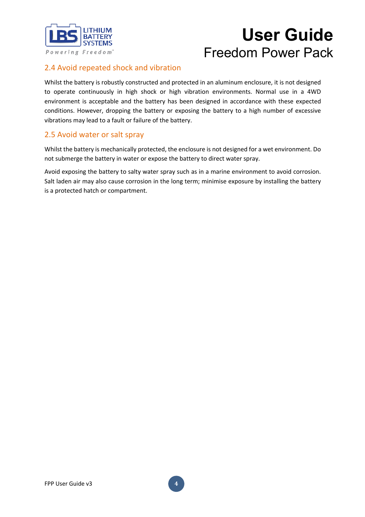

### 2.4 Avoid repeated shock and vibration

Whilst the battery is robustly constructed and protected in an aluminum enclosure, it is not designed to operate continuously in high shock or high vibration environments. Normal use in a 4WD environment is acceptable and the battery has been designed in accordance with these expected conditions. However, dropping the battery or exposing the battery to a high number of excessive vibrations may lead to a fault or failure of the battery.

### 2.5 Avoid water or salt spray

Whilst the battery is mechanically protected, the enclosure is not designed for a wet environment. Do not submerge the battery in water or expose the battery to direct water spray.

Avoid exposing the battery to salty water spray such as in a marine environment to avoid corrosion. Salt laden air may also cause corrosion in the long term; minimise exposure by installing the battery is a protected hatch or compartment.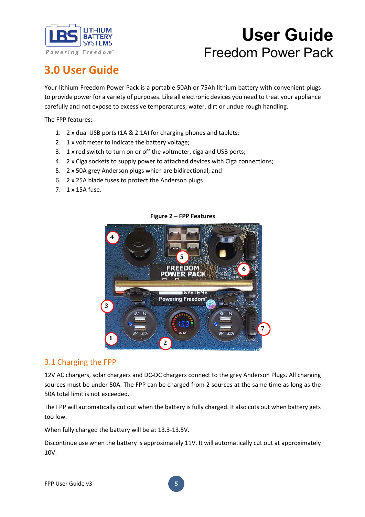

### **3.0 User Guide**

Your lithium Freedom Power Pack is a portable 50Ah or 75Ah lithium battery with convenient plugs to provide power for a variety of purposes. Like all electronic devices you need to treat your appliance carefully and not expose to excessive temperatures, water, dirt or undue rough handling.

The FPP features:

- 1. 2 x dual USB ports (1A & 2.1A) for charging phones and tablets;
- 2. 1 x voltmeter to indicate the battery voltage;
- 3. 1 x red switch to turn on or off the voltmeter, ciga and USB ports;
- 4. 2 x Ciga sockets to supply power to attached devices with Ciga connections;
- 5. 2 x 50A grey Anderson plugs which are bidirectional; and
- 6. 2 x 25A blade fuses to protect the Anderson plugs
- 7. 1 x 15A fuse.



#### **Figure 2 – FPP Features**

#### 3.1 Charging the FPP

12V AC chargers, solar chargers and DC-DC chargers connect to the grey Anderson Plugs. All charging sources must be under 50A. The FPP can be charged from 2 sources at the same time as long as the 50A total limit is not exceeded.

The FPP will automatically cut out when the battery is fully charged. It also cuts out when battery gets too low.

When fully charged the battery will be at 13.3-13.5V.

Discontinue use when the battery is approximately 11V. It will automatically cut out at approximately 10V.

**5**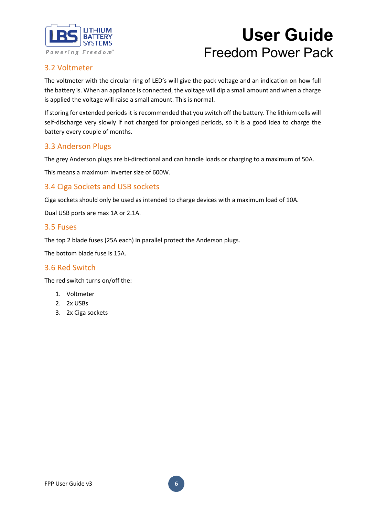

### 3.2 Voltmeter

The voltmeter with the circular ring of LED's will give the pack voltage and an indication on how full the battery is. When an appliance is connected, the voltage will dip a small amount and when a charge is applied the voltage will raise a small amount. This is normal.

If storing for extended periods it is recommended that you switch off the battery. The lithium cells will self-discharge very slowly if not charged for prolonged periods, so it is a good idea to charge the battery every couple of months.

### 3.3 Anderson Plugs

The grey Anderson plugs are bi-directional and can handle loads or charging to a maximum of 50A.

This means a maximum inverter size of 600W.

### 3.4 Ciga Sockets and USB sockets

Ciga sockets should only be used as intended to charge devices with a maximum load of 10A.

Dual USB ports are max 1A or 2.1A.

#### 3.5 Fuses

The top 2 blade fuses (25A each) in parallel protect the Anderson plugs.

The bottom blade fuse is 15A.

#### 3.6 Red Switch

The red switch turns on/off the:

- 1. Voltmeter
- 2. 2x USBs
- 3. 2x Ciga sockets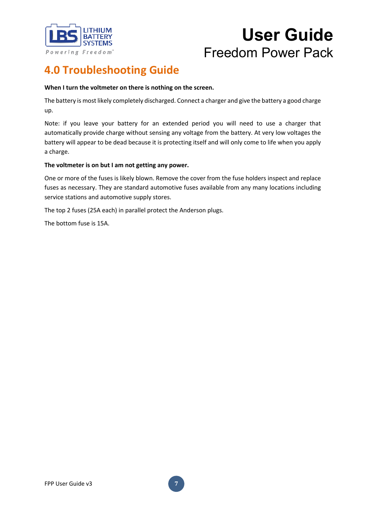

### **4.0 Troubleshooting Guide**

#### **When I turn the voltmeter on there is nothing on the screen.**

The battery is most likely completely discharged. Connect a charger and give the battery a good charge up.

Note: if you leave your battery for an extended period you will need to use a charger that automatically provide charge without sensing any voltage from the battery. At very low voltages the battery will appear to be dead because it is protecting itself and will only come to life when you apply a charge.

#### **The voltmeter is on but I am not getting any power.**

One or more of the fuses is likely blown. Remove the cover from the fuse holders inspect and replace fuses as necessary. They are standard automotive fuses available from any many locations including service stations and automotive supply stores.

The top 2 fuses (25A each) in parallel protect the Anderson plugs.

The bottom fuse is 15A.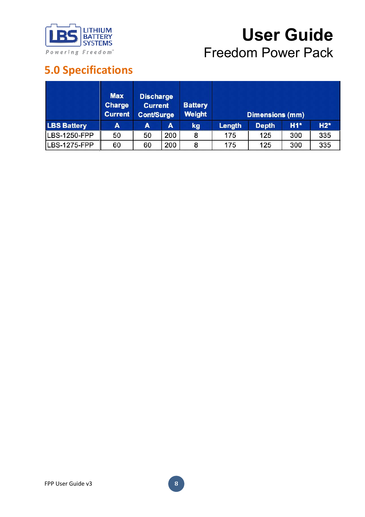

### **5.0 Specifications**

|                    | <b>Max</b><br><b>Discharge</b><br><b>Charge</b><br><b>Current</b><br><b>Current</b><br><b>Cont/Surge</b> |    | <b>Battery</b><br><b>Weight</b> |    | <b>Dimensions (mm)</b> |              |       |       |
|--------------------|----------------------------------------------------------------------------------------------------------|----|---------------------------------|----|------------------------|--------------|-------|-------|
| <b>LBS Battery</b> | A                                                                                                        | A  | A                               | kg | <b>Length</b>          | <b>Depth</b> | $H1*$ | $H2*$ |
| LBS-1250-FPP       | 50                                                                                                       | 50 | 200                             | 8  | 175                    | 125          | 300   | 335   |
| LBS-1275-FPP       | 60                                                                                                       | 60 | 200                             | 8  | 175                    | 125          | 300   | 335   |